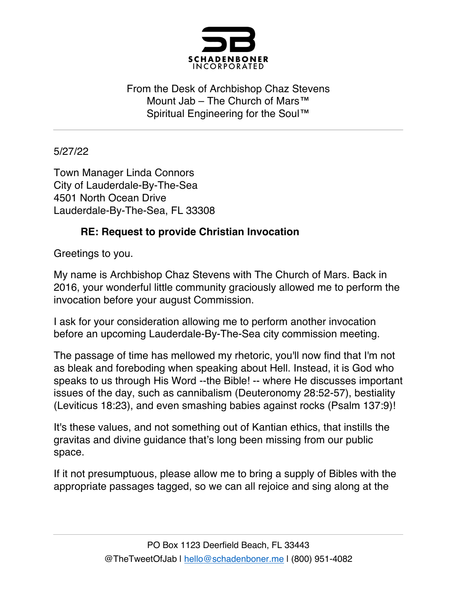

From the Desk of Archbishop Chaz Stevens Mount Jab – The Church of Mars™ Spiritual Engineering for the Soul™

5/27/22

Town Manager Linda Connors City of Lauderdale-By-The-Sea 4501 North Ocean Drive Lauderdale-By-The-Sea, FL 33308

## **RE: Request to provide Christian Invocation**

Greetings to you.

My name is Archbishop Chaz Stevens with The Church of Mars. Back in 2016, your wonderful little community graciously allowed me to perform the invocation before your august Commission.

I ask for your consideration allowing me to perform another invocation before an upcoming Lauderdale-By-The-Sea city commission meeting.

The passage of time has mellowed my rhetoric, you'll now find that I'm not as bleak and foreboding when speaking about Hell. Instead, it is God who speaks to us through His Word --the Bible! -- where He discusses important issues of the day, such as cannibalism (Deuteronomy 28:52-57), bestiality (Leviticus 18:23), and even smashing babies against rocks (Psalm 137:9)!

It's these values, and not something out of Kantian ethics, that instills the gravitas and divine guidance that's long been missing from our public space.

If it not presumptuous, please allow me to bring a supply of Bibles with the appropriate passages tagged, so we can all rejoice and sing along at the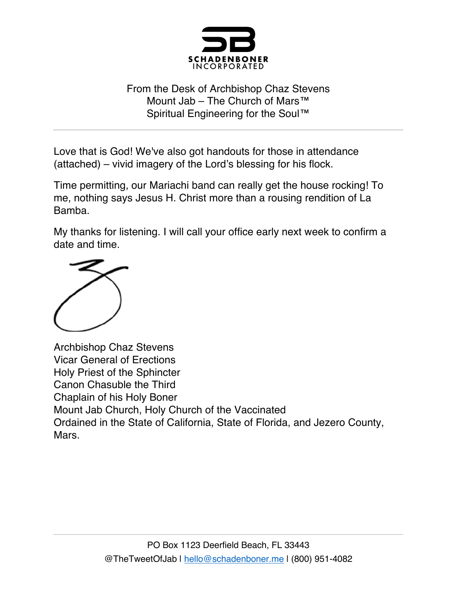

## From the Desk of Archbishop Chaz Stevens Mount Jab – The Church of Mars™ Spiritual Engineering for the Soul™

Love that is God! We've also got handouts for those in attendance (attached) – vivid imagery of the Lord's blessing for his flock.

Time permitting, our Mariachi band can really get the house rocking! To me, nothing says Jesus H. Christ more than a rousing rendition of La Bamba.

My thanks for listening. I will call your office early next week to confirm a date and time.



Archbishop Chaz Stevens Vicar General of Erections Holy Priest of the Sphincter Canon Chasuble the Third Chaplain of his Holy Boner Mount Jab Church, Holy Church of the Vaccinated Ordained in the State of California, State of Florida, and Jezero County, Mars.